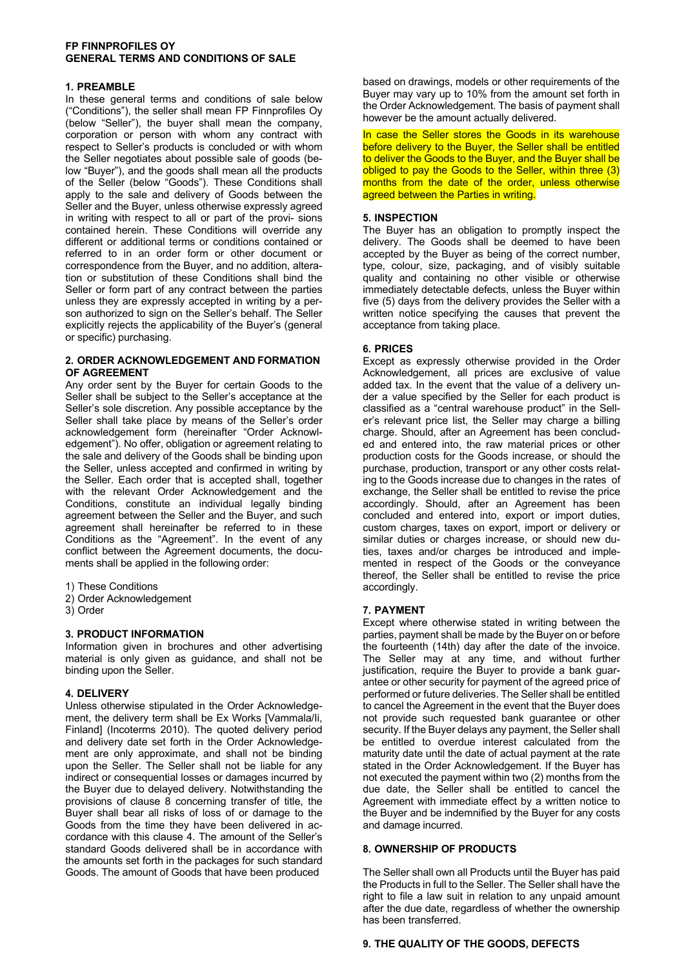## **FP FINNPROFILES OY GENERAL TERMS AND CONDITIONS OF SALE**

## **1. PREAMBLE**

In these general terms and conditions of sale below ("Conditions"), the seller shall mean FP Finnprofiles Oy (below "Seller"), the buyer shall mean the company, corporation or person with whom any contract with respect to Seller's products is concluded or with whom the Seller negotiates about possible sale of goods (below "Buyer"), and the goods shall mean all the products of the Seller (below "Goods"). These Conditions shall apply to the sale and delivery of Goods between the Seller and the Buyer, unless otherwise expressly agreed in writing with respect to all or part of the provi- sions contained herein. These Conditions will override any different or additional terms or conditions contained or referred to in an order form or other document or correspondence from the Buyer, and no addition, alteration or substitution of these Conditions shall bind the Seller or form part of any contract between the parties unless they are expressly accepted in writing by a person authorized to sign on the Seller's behalf. The Seller explicitly rejects the applicability of the Buyer's (general or specific) purchasing.

## **2. ORDER ACKNOWLEDGEMENT AND FORMATION OF AGREEMENT**

Any order sent by the Buyer for certain Goods to the Seller shall be subject to the Seller's acceptance at the Seller's sole discretion. Any possible acceptance by the Seller shall take place by means of the Seller's order acknowledgement form (hereinafter "Order Acknowledgement"). No offer, obligation or agreement relating to the sale and delivery of the Goods shall be binding upon the Seller, unless accepted and confirmed in writing by the Seller. Each order that is accepted shall, together with the relevant Order Acknowledgement and the Conditions, constitute an individual legally binding agreement between the Seller and the Buyer, and such agreement shall hereinafter be referred to in these Conditions as the "Agreement". In the event of any conflict between the Agreement documents, the documents shall be applied in the following order:

- 1) These Conditions
- 2) Order Acknowledgement
- 3) Order

# **3. PRODUCT INFORMATION**

Information given in brochures and other advertising material is only given as guidance, and shall not be binding upon the Seller.

## **4. DELIVERY**

Unless otherwise stipulated in the Order Acknowledgement, the delivery term shall be Ex Works [Vammala/Ii, Finland] (Incoterms 2010). The quoted delivery period and delivery date set forth in the Order Acknowledgement are only approximate, and shall not be binding upon the Seller. The Seller shall not be liable for any indirect or consequential losses or damages incurred by the Buyer due to delayed delivery. Notwithstanding the provisions of clause 8 concerning transfer of title, the Buyer shall bear all risks of loss of or damage to the Goods from the time they have been delivered in accordance with this clause 4. The amount of the Seller's standard Goods delivered shall be in accordance with the amounts set forth in the packages for such standard Goods. The amount of Goods that have been produced

based on drawings, models or other requirements of the Buyer may vary up to 10% from the amount set forth in the Order Acknowledgement. The basis of payment shall however be the amount actually delivered.

In case the Seller stores the Goods in its warehouse before delivery to the Buyer, the Seller shall be entitled to deliver the Goods to the Buyer, and the Buyer shall be obliged to pay the Goods to the Seller, within three (3) months from the date of the order, unless otherwise agreed between the Parties in writing.

## **5. INSPECTION**

The Buyer has an obligation to promptly inspect the delivery. The Goods shall be deemed to have been accepted by the Buyer as being of the correct number, type, colour, size, packaging, and of visibly suitable quality and containing no other visible or otherwise immediately detectable defects, unless the Buyer within five (5) days from the delivery provides the Seller with a written notice specifying the causes that prevent the acceptance from taking place.

## **6. PRICES**

Except as expressly otherwise provided in the Order Acknowledgement, all prices are exclusive of value added tax. In the event that the value of a delivery under a value specified by the Seller for each product is classified as a "central warehouse product" in the Seller's relevant price list, the Seller may charge a billing charge. Should, after an Agreement has been concluded and entered into, the raw material prices or other production costs for the Goods increase, or should the purchase, production, transport or any other costs relating to the Goods increase due to changes in the rates of exchange, the Seller shall be entitled to revise the price accordingly. Should, after an Agreement has been concluded and entered into, export or import duties, custom charges, taxes on export, import or delivery or similar duties or charges increase, or should new duties, taxes and/or charges be introduced and implemented in respect of the Goods or the conveyance thereof, the Seller shall be entitled to revise the price accordingly.

## **7. PAYMENT**

Except where otherwise stated in writing between the parties, payment shall be made by the Buyer on or before the fourteenth (14th) day after the date of the invoice. The Seller may at any time, and without further justification, require the Buyer to provide a bank guarantee or other security for payment of the agreed price of performed or future deliveries. The Seller shall be entitled to cancel the Agreement in the event that the Buyer does not provide such requested bank guarantee or other security. If the Buyer delays any payment, the Seller shall be entitled to overdue interest calculated from the maturity date until the date of actual payment at the rate stated in the Order Acknowledgement. If the Buyer has not executed the payment within two (2) months from the due date, the Seller shall be entitled to cancel the Agreement with immediate effect by a written notice to the Buyer and be indemnified by the Buyer for any costs and damage incurred.

## **8. OWNERSHIP OF PRODUCTS**

The Seller shall own all Products until the Buyer has paid the Products in full to the Seller. The Seller shall have the right to file a law suit in relation to any unpaid amount after the due date, regardless of whether the ownership has been transferred.

# **9. THE QUALITY OF THE GOODS, DEFECTS**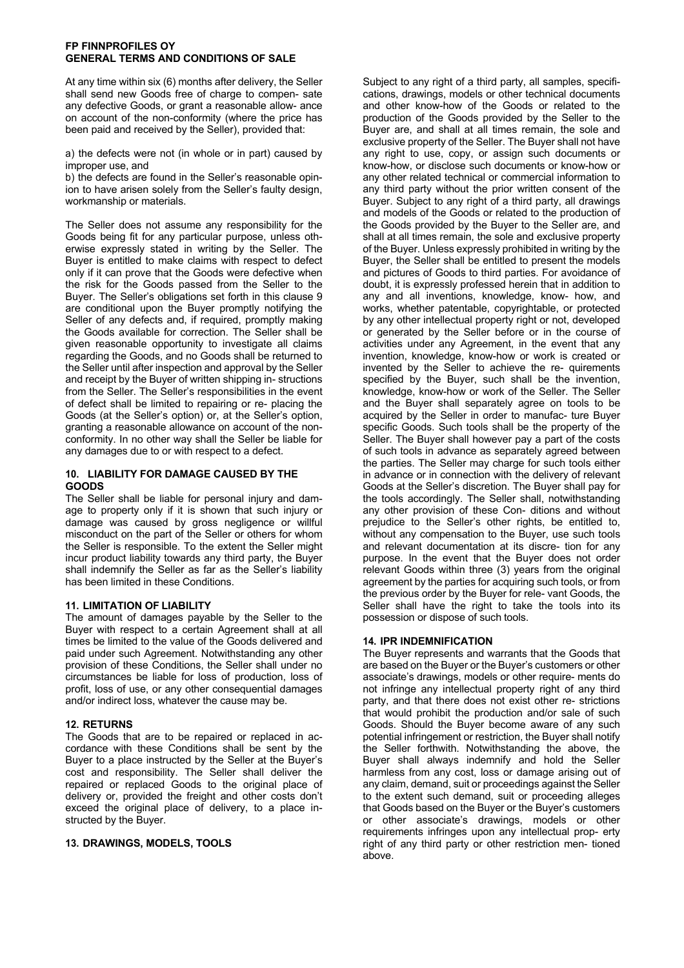## **FP FINNPROFILES OY GENERAL TERMS AND CONDITIONS OF SALE**

At any time within six (6) months after delivery, the Seller shall send new Goods free of charge to compen- sate any defective Goods, or grant a reasonable allow- ance on account of the non-conformity (where the price has been paid and received by the Seller), provided that:

a) the defects were not (in whole or in part) caused by improper use, and

b) the defects are found in the Seller's reasonable opinion to have arisen solely from the Seller's faulty design, workmanship or materials.

The Seller does not assume any responsibility for the Goods being fit for any particular purpose, unless otherwise expressly stated in writing by the Seller. The Buyer is entitled to make claims with respect to defect only if it can prove that the Goods were defective when the risk for the Goods passed from the Seller to the Buyer. The Seller's obligations set forth in this clause 9 are conditional upon the Buyer promptly notifying the Seller of any defects and, if required, promptly making the Goods available for correction. The Seller shall be given reasonable opportunity to investigate all claims regarding the Goods, and no Goods shall be returned to the Seller until after inspection and approval by the Seller and receipt by the Buyer of written shipping in- structions from the Seller. The Seller's responsibilities in the event of defect shall be limited to repairing or re- placing the Goods (at the Seller's option) or, at the Seller's option, granting a reasonable allowance on account of the nonconformity. In no other way shall the Seller be liable for any damages due to or with respect to a defect.

# **10. LIABILITY FOR DAMAGE CAUSED BY THE GOODS**

The Seller shall be liable for personal injury and damage to property only if it is shown that such injury or damage was caused by gross negligence or willful misconduct on the part of the Seller or others for whom the Seller is responsible. To the extent the Seller might incur product liability towards any third party, the Buyer shall indemnify the Seller as far as the Seller's liability has been limited in these Conditions.

# **11. LIMITATION OF LIABILITY**

The amount of damages payable by the Seller to the Buyer with respect to a certain Agreement shall at all times be limited to the value of the Goods delivered and paid under such Agreement. Notwithstanding any other provision of these Conditions, the Seller shall under no circumstances be liable for loss of production, loss of profit, loss of use, or any other consequential damages and/or indirect loss, whatever the cause may be.

## **12. RETURNS**

The Goods that are to be repaired or replaced in accordance with these Conditions shall be sent by the Buyer to a place instructed by the Seller at the Buyer's cost and responsibility. The Seller shall deliver the repaired or replaced Goods to the original place of delivery or, provided the freight and other costs don't exceed the original place of delivery, to a place instructed by the Buyer.

## **13. DRAWINGS, MODELS, TOOLS**

Subject to any right of a third party, all samples, specifications, drawings, models or other technical documents and other know-how of the Goods or related to the production of the Goods provided by the Seller to the Buyer are, and shall at all times remain, the sole and exclusive property of the Seller. The Buyer shall not have any right to use, copy, or assign such documents or know-how, or disclose such documents or know-how or any other related technical or commercial information to any third party without the prior written consent of the Buyer. Subject to any right of a third party, all drawings and models of the Goods or related to the production of the Goods provided by the Buyer to the Seller are, and shall at all times remain, the sole and exclusive property of the Buyer. Unless expressly prohibited in writing by the Buyer, the Seller shall be entitled to present the models and pictures of Goods to third parties. For avoidance of doubt, it is expressly professed herein that in addition to any and all inventions, knowledge, know- how, and works, whether patentable, copyrightable, or protected by any other intellectual property right or not, developed or generated by the Seller before or in the course of activities under any Agreement, in the event that any invention, knowledge, know-how or work is created or invented by the Seller to achieve the re- quirements specified by the Buyer, such shall be the invention, knowledge, know-how or work of the Seller. The Seller and the Buyer shall separately agree on tools to be acquired by the Seller in order to manufac- ture Buyer specific Goods. Such tools shall be the property of the Seller. The Buyer shall however pay a part of the costs of such tools in advance as separately agreed between the parties. The Seller may charge for such tools either in advance or in connection with the delivery of relevant Goods at the Seller's discretion. The Buyer shall pay for the tools accordingly. The Seller shall, notwithstanding any other provision of these Con- ditions and without prejudice to the Seller's other rights, be entitled to, without any compensation to the Buyer, use such tools and relevant documentation at its discre- tion for any purpose. In the event that the Buyer does not order relevant Goods within three (3) years from the original agreement by the parties for acquiring such tools, or from the previous order by the Buyer for rele- vant Goods, the Seller shall have the right to take the tools into its possession or dispose of such tools.

# **14. IPR INDEMNIFICATION**

The Buyer represents and warrants that the Goods that are based on the Buyer or the Buyer's customers or other associate's drawings, models or other require- ments do not infringe any intellectual property right of any third party, and that there does not exist other re- strictions that would prohibit the production and/or sale of such Goods. Should the Buyer become aware of any such potential infringement or restriction, the Buyer shall notify the Seller forthwith. Notwithstanding the above, the Buyer shall always indemnify and hold the Seller harmless from any cost, loss or damage arising out of any claim, demand, suit or proceedings against the Seller to the extent such demand, suit or proceeding alleges that Goods based on the Buyer or the Buyer's customers or other associate's drawings, models or other requirements infringes upon any intellectual prop- erty right of any third party or other restriction men- tioned above.